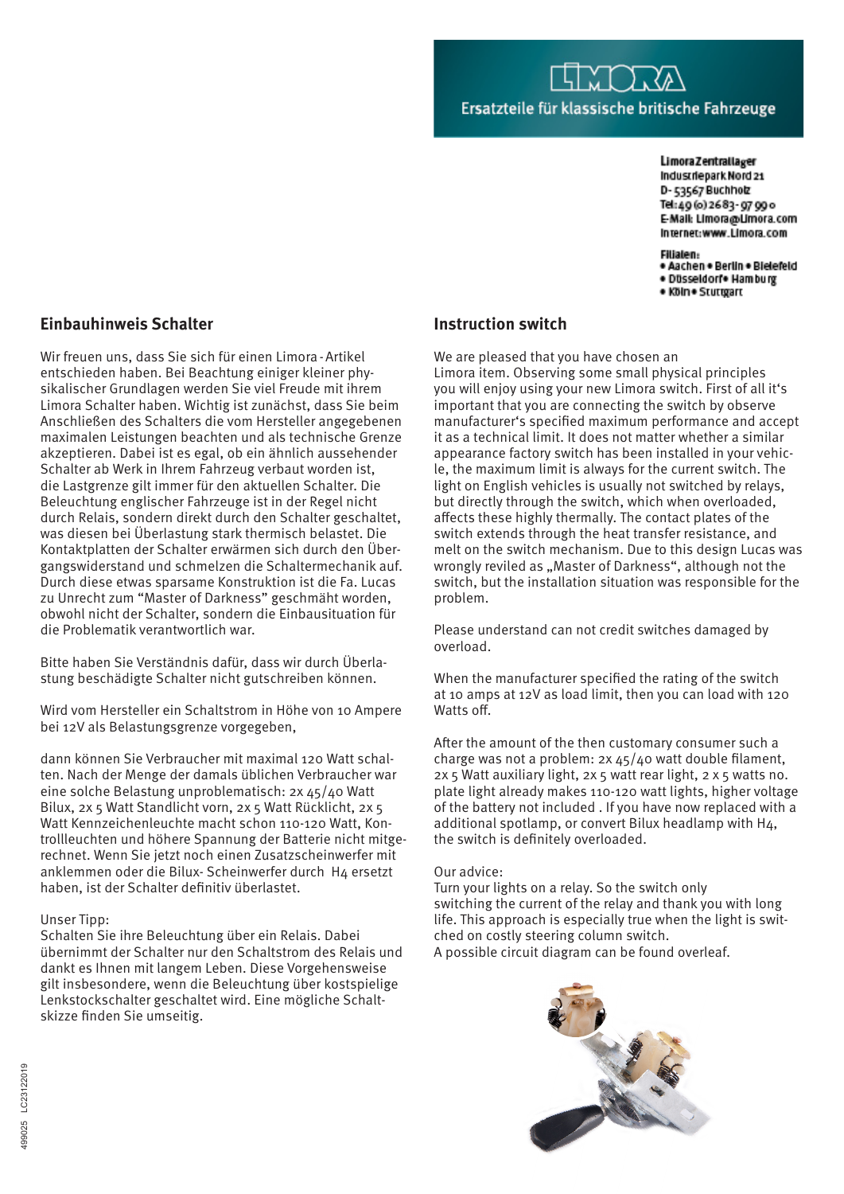#### **Limora Zentrallager**

Industriepark Nord 21 D-53567 Buchholz Tel:49(o)2683-9799o E-Mail: Limora@Limora.com Internet:www.Limora.com

### Filialen:

- · Aachen · Berlin · Bielefeld · Düsseldorf• Hamburg
- . Köln . Sturroart

# **Einbauhinweis Schalter**

Wir freuen uns, dass Sie sich für einen Limora-Artikel entschieden haben. Bei Beachtung einiger kleiner physikalischer Grundlagen werden Sie viel Freude mit ihrem Limora Schalter haben. Wichtig ist zunächst, dass Sie beim Anschließen des Schalters die vom Hersteller angegebenen maximalen Leistungen beachten und als technische Grenze akzeptieren. Dabei ist es egal, ob ein ähnlich aussehender Schalter ab Werk in Ihrem Fahrzeug verbaut worden ist, die Lastgrenze gilt immer für den aktuellen Schalter. Die Beleuchtung englischer Fahrzeuge ist in der Regel nicht durch Relais, sondern direkt durch den Schalter geschaltet, was diesen bei Überlastung stark thermisch belastet. Die Kontaktplatten der Schalter erwärmen sich durch den Übergangswiderstand und schmelzen die Schaltermechanik auf. Durch diese etwas sparsame Konstruktion ist die Fa. Lucas zu Unrecht zum "Master of Darkness" geschmäht worden, obwohl nicht der Schalter, sondern die Einbausituation für die Problematik verantwortlich war.

Bitte haben Sie Verständnis dafür, dass wir durch Überlastung beschädigte Schalter nicht gutschreiben können.

Wird vom Hersteller ein Schaltstrom in Höhe von 10 Ampere bei 12V als Belastungsgrenze vorgegeben,

dann können Sie Verbraucher mit maximal 120 Watt schalten. Nach der Menge der damals üblichen Verbraucher war eine solche Belastung unproblematisch: 2x 45/40 Watt Bilux, 2x 5 Watt Standlicht vorn, 2x 5 Watt Rücklicht, 2x 5 Watt Kennzeichenleuchte macht schon 110-120 Watt, Kontrollleuchten und höhere Spannung der Batterie nicht mitgerechnet. Wenn Sie jetzt noch einen Zusatzscheinwerfer mit anklemmen oder die Bilux- Scheinwerfer durch H4 ersetzt haben, ist der Schalter definitiv überlastet.

## Unser Tipp:

Schalten Sie ihre Beleuchtung über ein Relais. Dabei übernimmt der Schalter nur den Schaltstrom des Relais und dankt es Ihnen mit langem Leben. Diese Vorgehensweise gilt insbesondere, wenn die Beleuchtung über kostspielige Lenkstockschalter geschaltet wird. Eine mögliche Schaltskizze finden Sie umseitig.

# **Instruction switch**

We are pleased that you have chosen an Limora item. Observing some small physical principles you will enjoy using your new Limora switch. First of all it's important that you are connecting the switch by observe manufacturer's specified maximum performance and accept it as a technical limit. It does not matter whether a similar appearance factory switch has been installed in your vehicle, the maximum limit is always for the current switch. The light on English vehicles is usually not switched by relays, but directly through the switch, which when overloaded, affects these highly thermally. The contact plates of the switch extends through the heat transfer resistance, and melt on the switch mechanism. Due to this design Lucas was wrongly reviled as "Master of Darkness", although not the switch, but the installation situation was responsible for the problem.

Please understand can not credit switches damaged by overload.

When the manufacturer specified the rating of the switch at 10 amps at 12V as load limit, then you can load with 120 Watts off.

After the amount of the then customary consumer such a charge was not a problem: 2x 45/40 watt double filament, 2x 5 Watt auxiliary light, 2x 5 watt rear light, 2 x 5 watts no. plate light already makes 110-120 watt lights, higher voltage of the battery not included . If you have now replaced with a additional spotlamp, or convert Bilux headlamp with H4, the switch is definitely overloaded.

### Our advice:

Turn your lights on a relay. So the switch only switching the current of the relay and thank you with long life. This approach is especially true when the light is switched on costly steering column switch. A possible circuit diagram can be found overleaf.